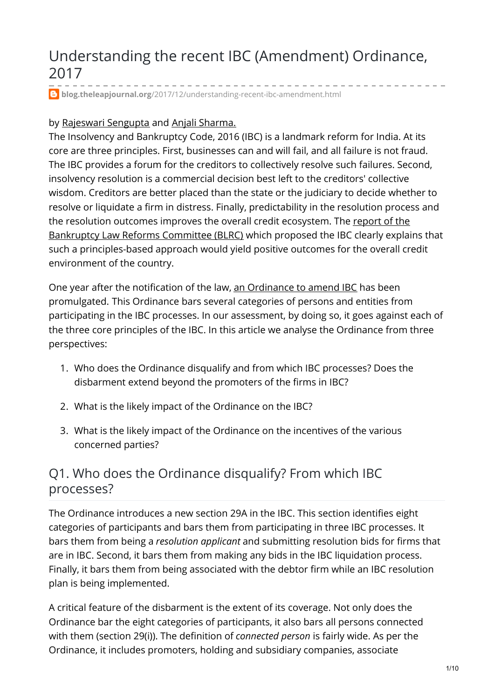# Understanding the recent IBC (Amendment) Ordinance, 2017

**blog.theleapjournal.org**[/2017/12/understanding-recent-ibc-amendment.html](https://blog.theleapjournal.org/2017/12/understanding-recent-ibc-amendment.html)

### by [Rajeswari](https://ajayshahblog.blogspot.in/2016/09/author-rajeswari-sengupta.html) Sengupta and Anjali [Sharma.](https://ajayshahblog.blogspot.in/2015/12/author-anjali-sharma.html)

The Insolvency and Bankruptcy Code, 2016 (IBC) is a landmark reform for India. At its core are three principles. First, businesses can and will fail, and all failure is not fraud. The IBC provides a forum for the creditors to collectively resolve such failures. Second, insolvency resolution is a commercial decision best left to the creditors' collective wisdom. Creditors are better placed than the state or the judiciary to decide whether to resolve or liquidate a firm in distress. Finally, predictability in the resolution process and the resolution outcomes improves the overall credit [ecosystem.](http://dea.gov.in/sites/default/files/BLRCReportVol1_04112015.pdf) The report of the Bankruptcy Law Reforms Committee (BLRC) which proposed the IBC clearly explains that such a principles-based approach would yield positive outcomes for the overall credit environment of the country.

One year after the notification of the law, an [Ordinance](http://www.egazette.nic.in/WriteReadData/2017/180404.pdf) to amend IBC has been promulgated. This Ordinance bars several categories of persons and entities from participating in the IBC processes. In our assessment, by doing so, it goes against each of the three core principles of the IBC. In this article we analyse the Ordinance from three perspectives:

- 1. Who does the Ordinance disqualify and from which IBC processes? Does the disbarment extend beyond the promoters of the firms in IBC?
- 2. What is the likely impact of the Ordinance on the IBC?
- 3. What is the likely impact of the Ordinance on the incentives of the various concerned parties?

### Q1. Who does the Ordinance disqualify? From which IBC processes?

The Ordinance introduces a new section 29A in the IBC. This section identifies eight categories of participants and bars them from participating in three IBC processes. It bars them from being a *resolution applicant* and submitting resolution bids for firms that are in IBC. Second, it bars them from making any bids in the IBC liquidation process. Finally, it bars them from being associated with the debtor firm while an IBC resolution plan is being implemented.

A critical feature of the disbarment is the extent of its coverage. Not only does the Ordinance bar the eight categories of participants, it also bars all persons connected with them (section 29(i)). The definition of *connected person* is fairly wide. As per the Ordinance, it includes promoters, holding and subsidiary companies, associate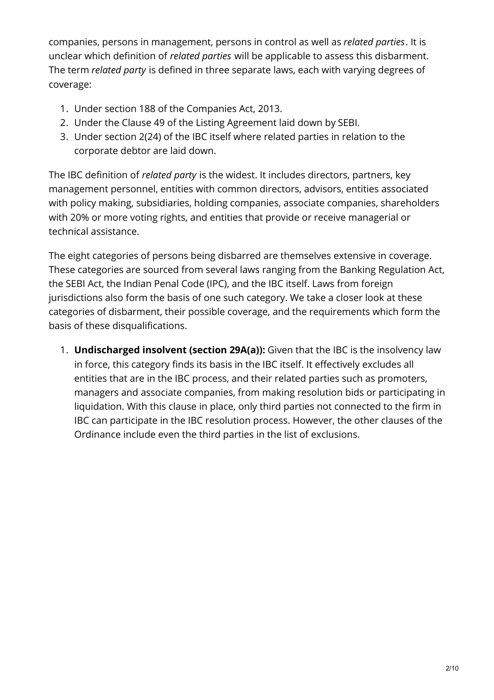companies, persons in management, persons in control as well as *related parties*. It is unclear which definition of *related parties* will be applicable to assess this disbarment. The term *related party* is defined in three separate laws, each with varying degrees of coverage:

- 1. Under section 188 of the Companies Act, 2013.
- 2. Under the Clause 49 of the Listing Agreement laid down by SEBI.
- 3. Under section 2(24) of the IBC itself where related parties in relation to the corporate debtor are laid down.

The IBC definition of *related party* is the widest. It includes directors, partners, key management personnel, entities with common directors, advisors, entities associated with policy making, subsidiaries, holding companies, associate companies, shareholders with 20% or more voting rights, and entities that provide or receive managerial or technical assistance.

The eight categories of persons being disbarred are themselves extensive in coverage. These categories are sourced from several laws ranging from the Banking Regulation Act, the SEBI Act, the Indian Penal Code (IPC), and the IBC itself. Laws from foreign jurisdictions also form the basis of one such category. We take a closer look at these categories of disbarment, their possible coverage, and the requirements which form the basis of these disqualifications.

1. **Undischarged insolvent (section 29A(a)):** Given that the IBC is the insolvency law in force, this category finds its basis in the IBC itself. It effectively excludes all entities that are in the IBC process, and their related parties such as promoters, managers and associate companies, from making resolution bids or participating in liquidation. With this clause in place, only third parties not connected to the firm in IBC can participate in the IBC resolution process. However, the other clauses of the Ordinance include even the third parties in the list of exclusions.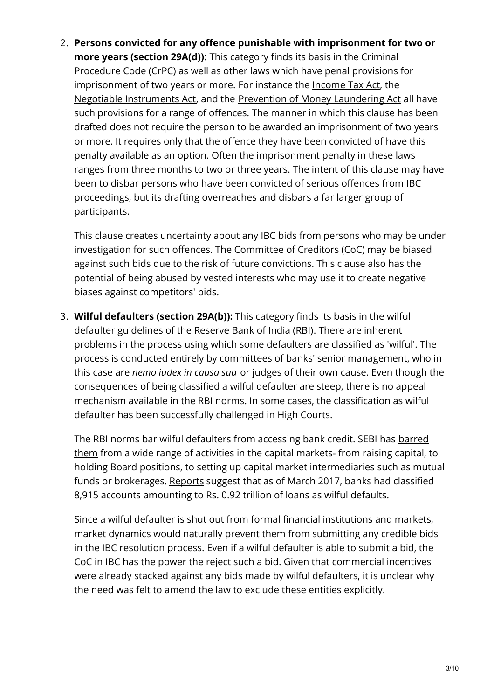2. **Persons convicted for any offence punishable with imprisonment for two or more years (section 29A(d)):** This category finds its basis in the Criminal Procedure Code (CrPC) as well as other laws which have penal provisions for imprisonment of two years or more. For instance the [Income](https://www.incometaxindia.gov.in/Charts  Tables/Penalties and Prosecutions.htm) Tax Act, the Negotiable [Instruments](http://ecourts.gov.in/sites/default/files/study circles.pdf) Act, and the Prevention of Money [Laundering](http://www.enforcementdirectorate.gov.in/faqs_on_pmla.pdf) Act all have such provisions for a range of offences. The manner in which this clause has been drafted does not require the person to be awarded an imprisonment of two years or more. It requires only that the offence they have been convicted of have this penalty available as an option. Often the imprisonment penalty in these laws ranges from three months to two or three years. The intent of this clause may have been to disbar persons who have been convicted of serious offences from IBC proceedings, but its drafting overreaches and disbars a far larger group of participants.

This clause creates uncertainty about any IBC bids from persons who may be under investigation for such offences. The Committee of Creditors (CoC) may be biased against such bids due to the risk of future convictions. This clause also has the potential of being abused by vested interests who may use it to create negative biases against competitors' bids.

3. **Wilful defaulters (section 29A(b)):** This category finds its basis in the wilful defaulter [guidelines](http://www.mayin.org/ajayshah/MEDIA/2014/wilful_default.html) of the Reserve Bank of India (RBI). There are inherent problems in the process using which some defaulters are classified as 'wilful'. The process is conducted entirely by committees of banks' senior management, who in this case are *nemo iudex in causa sua* or judges of their own cause. Even though the consequences of being classified a wilful defaulter are steep, there is no appeal mechanism available in the RBI norms. In some cases, the classification as wilful defaulter has been successfully challenged in High Courts.

The RBI norms bar wilful [defaulters](https://economictimes.indiatimes.com/markets/stocks/news/sebi-bans-wilful-defaulters-from-marktes-holding-board-positions/articleshow/52449050.cms) from accessing bank credit. SEBI has barred them from a wide range of activities in the capital markets- from raising capital, to holding Board positions, to setting up capital market intermediaries such as mutual funds or brokerages. [Reports](https://www.bloombergquint.com/markets/2017/08/27/psu-banks-take-recovery-action-against-5954-wilful-defaulters) suggest that as of March 2017, banks had classified 8,915 accounts amounting to Rs. 0.92 trillion of loans as wilful defaults.

Since a wilful defaulter is shut out from formal financial institutions and markets, market dynamics would naturally prevent them from submitting any credible bids in the IBC resolution process. Even if a wilful defaulter is able to submit a bid, the CoC in IBC has the power the reject such a bid. Given that commercial incentives were already stacked against any bids made by wilful defaulters, it is unclear why the need was felt to amend the law to exclude these entities explicitly.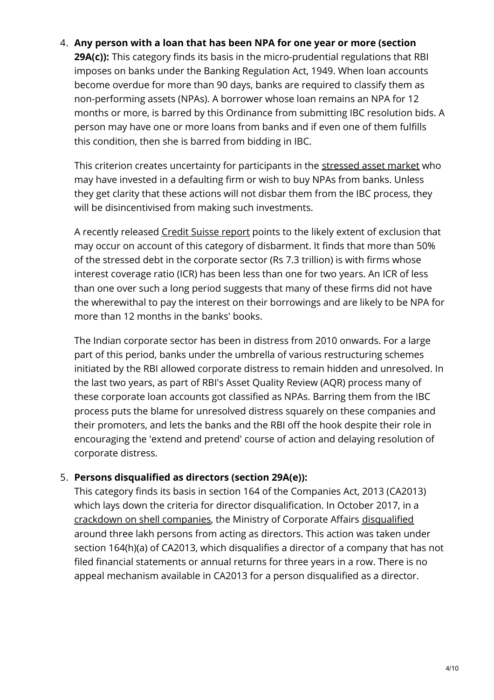#### 4. **Any person with a loan that has been NPA for one year or more (section**

**29A(c)):** This category finds its basis in the micro-prudential regulations that RBI imposes on banks under the Banking Regulation Act, 1949. When loan accounts become overdue for more than 90 days, banks are required to classify them as non-performing assets (NPAs). A borrower whose loan remains an NPA for 12 months or more, is barred by this Ordinance from submitting IBC resolution bids. A person may have one or more loans from banks and if even one of them fulfills this condition, then she is barred from bidding in IBC.

This criterion creates uncertainty for participants in the [stressed](http://www.livemint.com/Industry/33T3lCHzQ1YM3neIq4bsyJ/IBC-ordinance-may-disqualify-global-private-equity-funds.html) asset market who may have invested in a defaulting firm or wish to buy NPAs from banks. Unless they get clarity that these actions will not disbar them from the IBC process, they will be disincentivised from making such investments.

A recently released Credit [Suisse](http://www.livemint.com/Money/jtHOFpz41d24q2H952abON/Despite-falling-interest-rates-debt-in-distressed-firms-sti.html) report points to the likely extent of exclusion that may occur on account of this category of disbarment. It finds that more than 50% of the stressed debt in the corporate sector (Rs 7.3 trillion) is with firms whose interest coverage ratio (ICR) has been less than one for two years. An ICR of less than one over such a long period suggests that many of these firms did not have the wherewithal to pay the interest on their borrowings and are likely to be NPA for more than 12 months in the banks' books.

The Indian corporate sector has been in distress from 2010 onwards. For a large part of this period, banks under the umbrella of various restructuring schemes initiated by the RBI allowed corporate distress to remain hidden and unresolved. In the last two years, as part of RBI's Asset Quality Review (AQR) process many of these corporate loan accounts got classified as NPAs. Barring them from the IBC process puts the blame for unresolved distress squarely on these companies and their promoters, and lets the banks and the RBI off the hook despite their role in encouraging the 'extend and pretend' course of action and delaying resolution of corporate distress.

#### 5. **Persons disqualified as directors (section 29A(e)):**

This category finds its basis in section 164 of the Companies Act, 2013 (CA2013) which lays down the criteria for director disqualification. In October 2017, in a [crackdown](http://www.mca.gov.in/MinistryV2/defaultercompanieslist.html) on shell companies, the Ministry of Corporate Affairs [disqualified](https://economictimes.indiatimes.com/news/economy/policy/disqualified-directors-seek-reprieve-from-ministry-of-corporate-affairs/articleshow/60930425.cms) around three lakh persons from acting as directors. This action was taken under section 164(h)(a) of CA2013, which disqualifies a director of a company that has not filed financial statements or annual returns for three years in a row. There is no appeal mechanism available in CA2013 for a person disqualified as a director.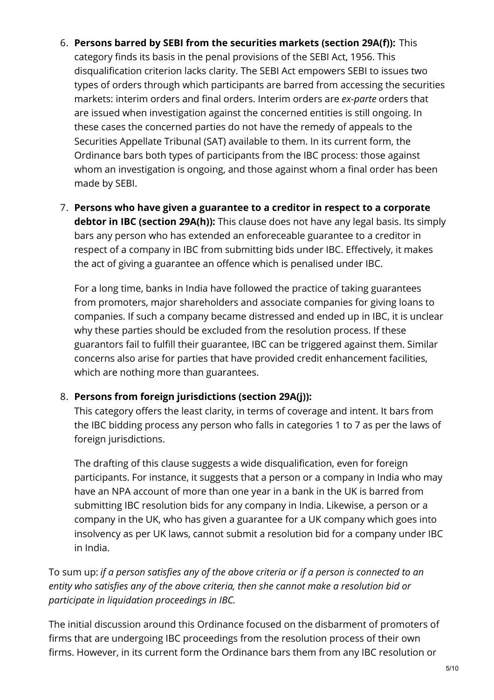### 6. **Persons barred by SEBI from the securities markets (section 29A(f)):** This

category finds its basis in the penal provisions of the SEBI Act, 1956. This disqualification criterion lacks clarity. The SEBI Act empowers SEBI to issues two types of orders through which participants are barred from accessing the securities markets: interim orders and final orders. Interim orders are *ex-parte* orders that are issued when investigation against the concerned entities is still ongoing. In these cases the concerned parties do not have the remedy of appeals to the Securities Appellate Tribunal (SAT) available to them. In its current form, the Ordinance bars both types of participants from the IBC process: those against whom an investigation is ongoing, and those against whom a final order has been made by SEBI.

7. **Persons who have given a guarantee to a creditor in respect to a corporate debtor in IBC (section 29A(h)):** This clause does not have any legal basis. Its simply bars any person who has extended an enforeceable guarantee to a creditor in respect of a company in IBC from submitting bids under IBC. Effectively, it makes the act of giving a guarantee an offence which is penalised under IBC.

For a long time, banks in India have followed the practice of taking guarantees from promoters, major shareholders and associate companies for giving loans to companies. If such a company became distressed and ended up in IBC, it is unclear why these parties should be excluded from the resolution process. If these guarantors fail to fulfill their guarantee, IBC can be triggered against them. Similar concerns also arise for parties that have provided credit enhancement facilities, which are nothing more than guarantees.

#### 8. **Persons from foreign jurisdictions (section 29A(j)):**

This category offers the least clarity, in terms of coverage and intent. It bars from the IBC bidding process any person who falls in categories 1 to 7 as per the laws of foreign jurisdictions.

The drafting of this clause suggests a wide disqualification, even for foreign participants. For instance, it suggests that a person or a company in India who may have an NPA account of more than one year in a bank in the UK is barred from submitting IBC resolution bids for any company in India. Likewise, a person or a company in the UK, who has given a guarantee for a UK company which goes into insolvency as per UK laws, cannot submit a resolution bid for a company under IBC in India.

To sum up: *if a person satisfies any of the above criteria or if a person is connected to an entity who satisfies any of the above criteria, then she cannot make a resolution bid or participate in liquidation proceedings in IBC.*

The initial discussion around this Ordinance focused on the disbarment of promoters of firms that are undergoing IBC proceedings from the resolution process of their own firms. However, in its current form the Ordinance bars them from any IBC resolution or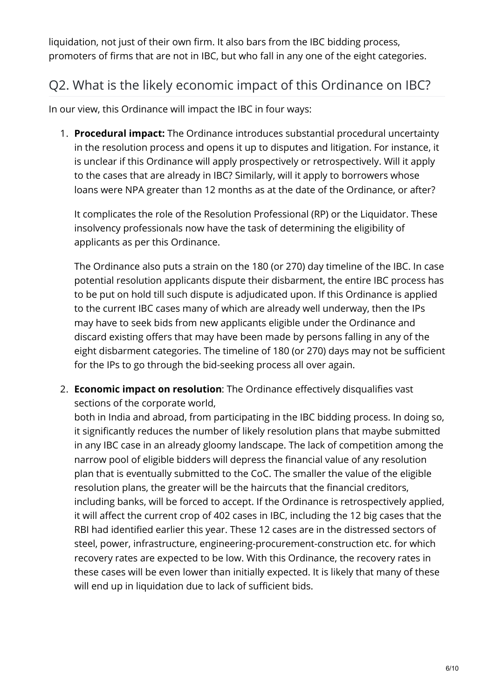liquidation, not just of their own firm. It also bars from the IBC bidding process, promoters of firms that are not in IBC, but who fall in any one of the eight categories.

### Q2. What is the likely economic impact of this Ordinance on IBC?

In our view, this Ordinance will impact the IBC in four ways:

1. **Procedural impact:** The Ordinance introduces substantial procedural uncertainty in the resolution process and opens it up to disputes and litigation. For instance, it is unclear if this Ordinance will apply prospectively or retrospectively. Will it apply to the cases that are already in IBC? Similarly, will it apply to borrowers whose loans were NPA greater than 12 months as at the date of the Ordinance, or after?

It complicates the role of the Resolution Professional (RP) or the Liquidator. These insolvency professionals now have the task of determining the eligibility of applicants as per this Ordinance.

The Ordinance also puts a strain on the 180 (or 270) day timeline of the IBC. In case potential resolution applicants dispute their disbarment, the entire IBC process has to be put on hold till such dispute is adjudicated upon. If this Ordinance is applied to the current IBC cases many of which are already well underway, then the IPs may have to seek bids from new applicants eligible under the Ordinance and discard existing offers that may have been made by persons falling in any of the eight disbarment categories. The timeline of 180 (or 270) days may not be sufficient for the IPs to go through the bid-seeking process all over again.

2. **Economic impact on resolution**: The Ordinance effectively disqualifies vast sections of the corporate world,

both in India and abroad, from participating in the IBC bidding process. In doing so, it significantly reduces the number of likely resolution plans that maybe submitted in any IBC case in an already gloomy landscape. The lack of competition among the narrow pool of eligible bidders will depress the financial value of any resolution plan that is eventually submitted to the CoC. The smaller the value of the eligible resolution plans, the greater will be the haircuts that the financial creditors, including banks, will be forced to accept. If the Ordinance is retrospectively applied, it will affect the current crop of 402 cases in IBC, including the 12 big cases that the RBI had identified earlier this year. These 12 cases are in the distressed sectors of steel, power, infrastructure, engineering-procurement-construction etc. for which recovery rates are expected to be low. With this Ordinance, the recovery rates in these cases will be even lower than initially expected. It is likely that many of these will end up in liquidation due to lack of sufficient bids.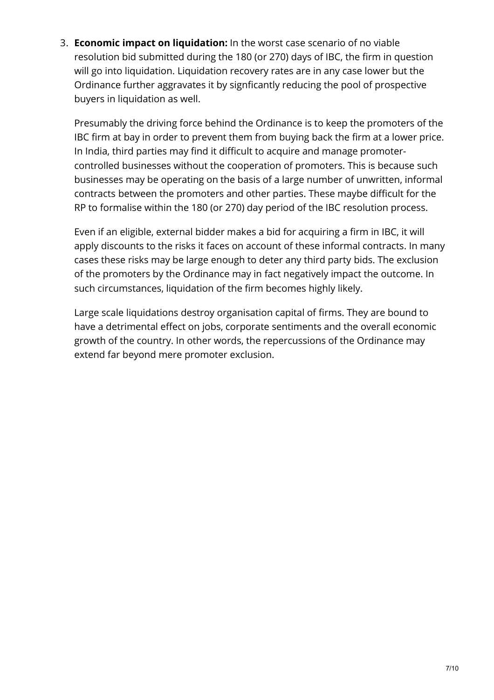3. **Economic impact on liquidation:** In the worst case scenario of no viable resolution bid submitted during the 180 (or 270) days of IBC, the firm in question will go into liquidation. Liquidation recovery rates are in any case lower but the Ordinance further aggravates it by signficantly reducing the pool of prospective buyers in liquidation as well.

Presumably the driving force behind the Ordinance is to keep the promoters of the IBC firm at bay in order to prevent them from buying back the firm at a lower price. In India, third parties may find it difficult to acquire and manage promotercontrolled businesses without the cooperation of promoters. This is because such businesses may be operating on the basis of a large number of unwritten, informal contracts between the promoters and other parties. These maybe difficult for the RP to formalise within the 180 (or 270) day period of the IBC resolution process.

Even if an eligible, external bidder makes a bid for acquiring a firm in IBC, it will apply discounts to the risks it faces on account of these informal contracts. In many cases these risks may be large enough to deter any third party bids. The exclusion of the promoters by the Ordinance may in fact negatively impact the outcome. In such circumstances, liquidation of the firm becomes highly likely.

Large scale liquidations destroy organisation capital of firms. They are bound to have a detrimental effect on jobs, corporate sentiments and the overall economic growth of the country. In other words, the repercussions of the Ordinance may extend far beyond mere promoter exclusion.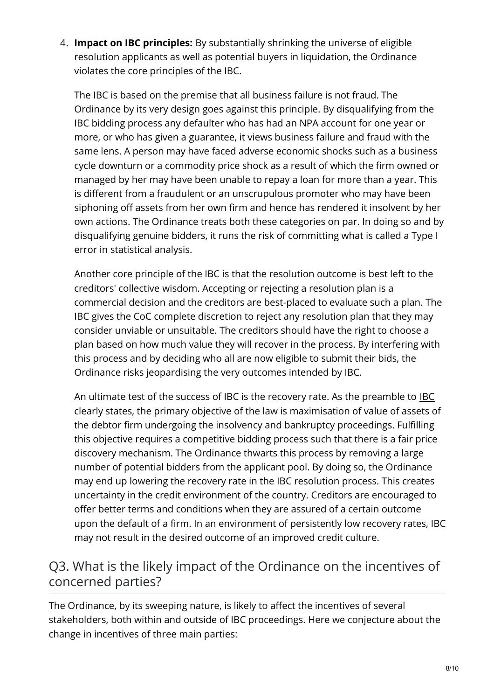4. **Impact on IBC principles:** By substantially shrinking the universe of eligible resolution applicants as well as potential buyers in liquidation, the Ordinance violates the core principles of the IBC.

The IBC is based on the premise that all business failure is not fraud. The Ordinance by its very design goes against this principle. By disqualifying from the IBC bidding process any defaulter who has had an NPA account for one year or more, or who has given a guarantee, it views business failure and fraud with the same lens. A person may have faced adverse economic shocks such as a business cycle downturn or a commodity price shock as a result of which the firm owned or managed by her may have been unable to repay a loan for more than a year. This is different from a fraudulent or an unscrupulous promoter who may have been siphoning off assets from her own firm and hence has rendered it insolvent by her own actions. The Ordinance treats both these categories on par. In doing so and by disqualifying genuine bidders, it runs the risk of committing what is called a Type I error in statistical analysis.

Another core principle of the IBC is that the resolution outcome is best left to the creditors' collective wisdom. Accepting or rejecting a resolution plan is a commercial decision and the creditors are best-placed to evaluate such a plan. The IBC gives the CoC complete discretion to reject any resolution plan that they may consider unviable or unsuitable. The creditors should have the right to choose a plan based on how much value they will recover in the process. By interfering with this process and by deciding who all are now eligible to submit their bids, the Ordinance risks jeopardising the very outcomes intended by IBC.

An ultimate test of the success of [IBC](http://www.indiacode.nic.in/acts-in-pdf/2016/201631.pdf) is the recovery rate. As the preamble to IBC clearly states, the primary objective of the law is maximisation of value of assets of the debtor firm undergoing the insolvency and bankruptcy proceedings. Fulfilling this objective requires a competitive bidding process such that there is a fair price discovery mechanism. The Ordinance thwarts this process by removing a large number of potential bidders from the applicant pool. By doing so, the Ordinance may end up lowering the recovery rate in the IBC resolution process. This creates uncertainty in the credit environment of the country. Creditors are encouraged to offer better terms and conditions when they are assured of a certain outcome upon the default of a firm. In an environment of persistently low recovery rates, IBC may not result in the desired outcome of an improved credit culture.

### Q3. What is the likely impact of the Ordinance on the incentives of concerned parties?

The Ordinance, by its sweeping nature, is likely to affect the incentives of several stakeholders, both within and outside of IBC proceedings. Here we conjecture about the change in incentives of three main parties: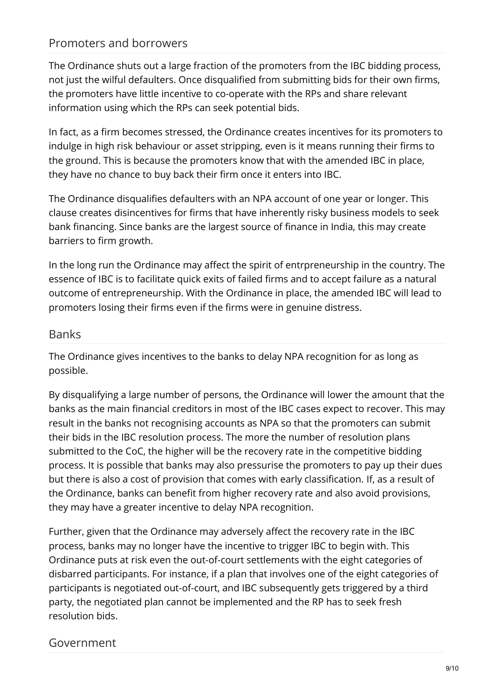### Promoters and borrowers

The Ordinance shuts out a large fraction of the promoters from the IBC bidding process, not just the wilful defaulters. Once disqualified from submitting bids for their own firms, the promoters have little incentive to co-operate with the RPs and share relevant information using which the RPs can seek potential bids.

In fact, as a firm becomes stressed, the Ordinance creates incentives for its promoters to indulge in high risk behaviour or asset stripping, even is it means running their firms to the ground. This is because the promoters know that with the amended IBC in place, they have no chance to buy back their firm once it enters into IBC.

The Ordinance disqualifies defaulters with an NPA account of one year or longer. This clause creates disincentives for firms that have inherently risky business models to seek bank financing. Since banks are the largest source of finance in India, this may create barriers to firm growth.

In the long run the Ordinance may affect the spirit of entrpreneurship in the country. The essence of IBC is to facilitate quick exits of failed firms and to accept failure as a natural outcome of entrepreneurship. With the Ordinance in place, the amended IBC will lead to promoters losing their firms even if the firms were in genuine distress.

### **Banks**

The Ordinance gives incentives to the banks to delay NPA recognition for as long as possible.

By disqualifying a large number of persons, the Ordinance will lower the amount that the banks as the main financial creditors in most of the IBC cases expect to recover. This may result in the banks not recognising accounts as NPA so that the promoters can submit their bids in the IBC resolution process. The more the number of resolution plans submitted to the CoC, the higher will be the recovery rate in the competitive bidding process. It is possible that banks may also pressurise the promoters to pay up their dues but there is also a cost of provision that comes with early classification. If, as a result of the Ordinance, banks can benefit from higher recovery rate and also avoid provisions, they may have a greater incentive to delay NPA recognition.

Further, given that the Ordinance may adversely affect the recovery rate in the IBC process, banks may no longer have the incentive to trigger IBC to begin with. This Ordinance puts at risk even the out-of-court settlements with the eight categories of disbarred participants. For instance, if a plan that involves one of the eight categories of participants is negotiated out-of-court, and IBC subsequently gets triggered by a third party, the negotiated plan cannot be implemented and the RP has to seek fresh resolution bids.

### Government